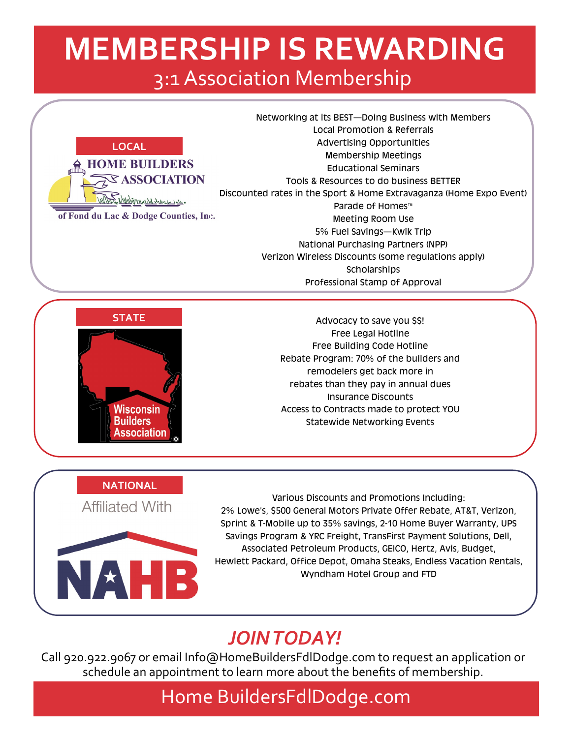# **MEMBERSHIP IS REWARDING** 3:1 Association Membership



Networking at its BEST—Doing Business with Members Local Promotion & Referrals Advertising Opportunities Membership Meetings Educational Seminars Tools & Resources to do business BETTER Discounted rates in the Sport & Home Extravaganza (Home Expo Event) Parade of Homes™ Meeting Room Use 5% Fuel Savings—Kwik Trip National Purchasing Partners (NPP) Verizon Wireless Discounts (some regulations apply) **Scholarships** 

Professional Stamp of Approval



Advocacy to save you \$\$! Free Legal Hotline Free Building Code Hotline Rebate Program: 70% of the builders and remodelers get back more in rebates than they pay in annual dues Insurance Discounts Access to Contracts made to protect YOU Statewide Networking Events

**NATIONAL**

**Affiliated With** 



Various Discounts and Promotions Including: 2% Lowe's, \$500 General Motors Private Offer Rebate, AT&T, Verizon, Sprint & T-Mobile up to 35% savings, 2-10 Home Buyer Warranty, UPS Savings Program & YRC Freight, TransFirst Payment Solutions, Dell, Associated Petroleum Products, GEICO, Hertz, Avis, Budget, Hewlett Packard, Office Depot, Omaha Steaks, Endless Vacation Rentals, Wyndham Hotel Group and FTD

## *JOIN TODAY!*

Call 920.922.9067 or email Info@HomeBuildersFdlDodge.com to request an application or schedule an appointment to learn more about the benefits of membership.

## Home BuildersFdlDodge.com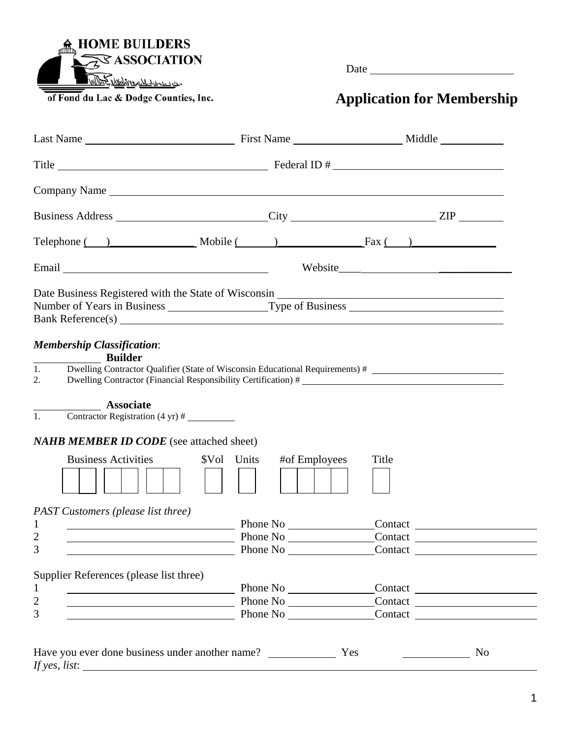**HOME BUILDERS EXASSOCIATION** 

<u>MINE DUNGAN SINE SINE SINE</u>

*If yes, list*:

Date

## *of Fond du Lac & Dodge Counties, Inc.* **Application for Membership**

|                                                                                                                                                                             |                                              | Company Name experience and the company name of the contract of the contract of the contract of the contract of the contract of the contract of the contract of the contract of the contract of the contract of the contract o |  |  |
|-----------------------------------------------------------------------------------------------------------------------------------------------------------------------------|----------------------------------------------|--------------------------------------------------------------------------------------------------------------------------------------------------------------------------------------------------------------------------------|--|--|
|                                                                                                                                                                             |                                              |                                                                                                                                                                                                                                |  |  |
|                                                                                                                                                                             |                                              | Telephone () Mobile () Mobile () Fax ()                                                                                                                                                                                        |  |  |
|                                                                                                                                                                             |                                              |                                                                                                                                                                                                                                |  |  |
|                                                                                                                                                                             |                                              |                                                                                                                                                                                                                                |  |  |
| <b>Membership Classification:</b><br><b>Builder</b>                                                                                                                         |                                              | Dwelling Contractor Qualifier (State of Wisconsin Educational Requirements) #                                                                                                                                                  |  |  |
| <b>Associate</b>                                                                                                                                                            |                                              |                                                                                                                                                                                                                                |  |  |
| 1.<br>2.<br>Contractor Registration $(4 \text{ yr})$ #<br>1.                                                                                                                |                                              |                                                                                                                                                                                                                                |  |  |
| <b>Business Activities</b>                                                                                                                                                  | #of Employees<br>\$Vol Units                 | Title                                                                                                                                                                                                                          |  |  |
|                                                                                                                                                                             |                                              |                                                                                                                                                                                                                                |  |  |
|                                                                                                                                                                             | Phone No                                     |                                                                                                                                                                                                                                |  |  |
| 1<br>$\overline{2}$<br>3                                                                                                                                                    | $P$ hone No $\sim$                           | Phone No Contact                                                                                                                                                                                                               |  |  |
|                                                                                                                                                                             |                                              |                                                                                                                                                                                                                                |  |  |
|                                                                                                                                                                             |                                              |                                                                                                                                                                                                                                |  |  |
| NAHB MEMBER ID CODE (see attached sheet)<br><b>PAST Customers (please list three)</b><br>Supplier References (please list three)<br>$\mathbf{1}$<br>$\overline{\mathbf{c}}$ | Phone No<br><u>International</u><br>Phone No |                                                                                                                                                                                                                                |  |  |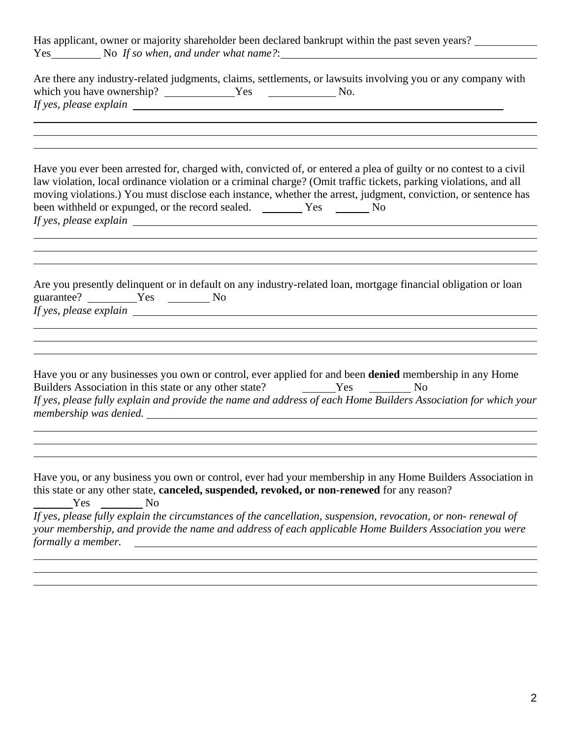Has applicant, owner or majority shareholder been declared bankrupt within the past seven years? Yes No If so when, and under what name?:

| Are there any industry-related judgments, claims, settlements, or lawsuits involving you or any company with |     |                  |  |
|--------------------------------------------------------------------------------------------------------------|-----|------------------|--|
| which you have ownership?                                                                                    | Yes | N <sub>O</sub> . |  |
| If yes, please explain                                                                                       |     |                  |  |

Have you ever been arrested for, charged with, convicted of, or entered a plea of guilty or no contest to a civil law violation, local ordinance violation or a criminal charge? (Omit traffic tickets, parking violations, and all moving violations.) You must disclose each instance, whether the arrest, judgment, conviction, or sentence has been withheld or expunged, or the record sealed. Yes No *If yes, please explain* 

Are you presently delinquent or in default on any industry-related loan, mortgage financial obligation or loan guarantee? Yes No *If yes, please explain* 

Have you or any businesses you own or control, ever applied for and been **denied** membership in any Home Builders Association in this state or any other state? No No No *If yes, please fully explain and provide the name and address of each Home Builders Association for which your membership was denied.* 

Have you, or any business you own or control, ever had your membership in any Home Builders Association in this state or any other state, **canceled, suspended, revoked, or non-renewed** for any reason?

Yes No

 $\overline{a}$ 

 $\overline{a}$ 

 $\overline{a}$ 

 $\overline{a}$ 

 $\overline{a}$ 

 $\overline{a}$ 

*If yes, please fully explain the circumstances of the cancellation, suspension, revocation, or non- renewal of your membership, and provide the name and address of each applicable Home Builders Association you were formally a member.*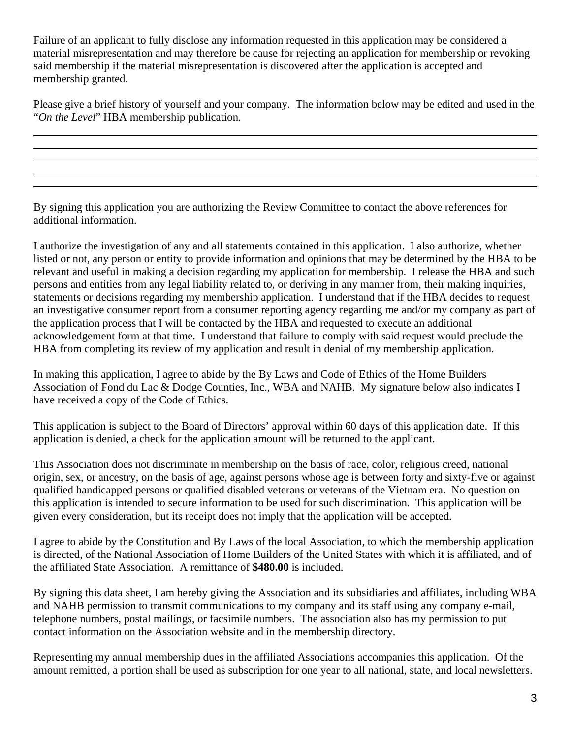Failure of an applicant to fully disclose any information requested in this application may be considered a material misrepresentation and may therefore be cause for rejecting an application for membership or revoking said membership if the material misrepresentation is discovered after the application is accepted and membership granted.

Please give a brief history of yourself and your company. The information below may be edited and used in the "*On the Level*" HBA membership publication.

By signing this application you are authorizing the Review Committee to contact the above references for additional information.

 $\overline{a}$  $\overline{a}$ 

I authorize the investigation of any and all statements contained in this application. I also authorize, whether listed or not, any person or entity to provide information and opinions that may be determined by the HBA to be relevant and useful in making a decision regarding my application for membership. I release the HBA and such persons and entities from any legal liability related to, or deriving in any manner from, their making inquiries, statements or decisions regarding my membership application. I understand that if the HBA decides to request an investigative consumer report from a consumer reporting agency regarding me and/or my company as part of the application process that I will be contacted by the HBA and requested to execute an additional acknowledgement form at that time. I understand that failure to comply with said request would preclude the HBA from completing its review of my application and result in denial of my membership application.

In making this application, I agree to abide by the By Laws and Code of Ethics of the Home Builders Association of Fond du Lac & Dodge Counties, Inc., WBA and NAHB. My signature below also indicates I have received a copy of the Code of Ethics.

This application is subject to the Board of Directors' approval within 60 days of this application date. If this application is denied, a check for the application amount will be returned to the applicant.

This Association does not discriminate in membership on the basis of race, color, religious creed, national origin, sex, or ancestry, on the basis of age, against persons whose age is between forty and sixty-five or against qualified handicapped persons or qualified disabled veterans or veterans of the Vietnam era. No question on this application is intended to secure information to be used for such discrimination. This application will be given every consideration, but its receipt does not imply that the application will be accepted.

I agree to abide by the Constitution and By Laws of the local Association, to which the membership application is directed, of the National Association of Home Builders of the United States with which it is affiliated, and of the affiliated State Association. A remittance of **\$480.00** is included.

By signing this data sheet, I am hereby giving the Association and its subsidiaries and affiliates, including WBA and NAHB permission to transmit communications to my company and its staff using any company e-mail, telephone numbers, postal mailings, or facsimile numbers. The association also has my permission to put contact information on the Association website and in the membership directory.

Representing my annual membership dues in the affiliated Associations accompanies this application. Of the amount remitted, a portion shall be used as subscription for one year to all national, state, and local newsletters.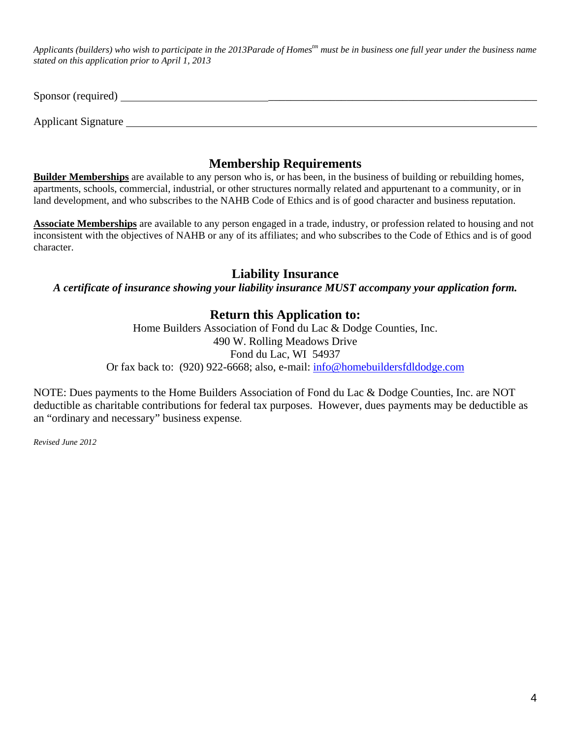*Applicants (builders) who wish to participate in the 2013Parade of Homes<sup>tm</sup> must be in business one full year under the business name stated on this application prior to April 1, 2013* 

Sponsor (required) \_\_\_\_\_\_\_\_\_\_\_\_\_\_\_\_\_\_\_\_\_\_\_\_\_\_\_\_\_\_\_\_\_\_\_\_\_\_\_\_\_\_\_\_\_\_\_\_

Applicant Signature

### **Membership Requirements**

**Builder Memberships** are available to any person who is, or has been, in the business of building or rebuilding homes, apartments, schools, commercial, industrial, or other structures normally related and appurtenant to a community, or in land development, and who subscribes to the NAHB Code of Ethics and is of good character and business reputation.

**Associate Memberships** are available to any person engaged in a trade, industry, or profession related to housing and not inconsistent with the objectives of NAHB or any of its affiliates; and who subscribes to the Code of Ethics and is of good character.

### **Liability Insurance**

*A certificate of insurance showing your liability insurance MUST accompany your application form.* 

### **Return this Application to:**

Home Builders Association of Fond du Lac & Dodge Counties, Inc. 490 W. Rolling Meadows Drive Fond du Lac, WI 54937 Or fax back to: (920) 922-6668; also, e-mail: [info@homebuildersfdldodge.com](mailto:info@homebuildersfdldodge.com)

NOTE: Dues payments to the Home Builders Association of Fond du Lac & Dodge Counties, Inc. are NOT deductible as charitable contributions for federal tax purposes. However, dues payments may be deductible as an "ordinary and necessary" business expense.

*Revised June 2012*